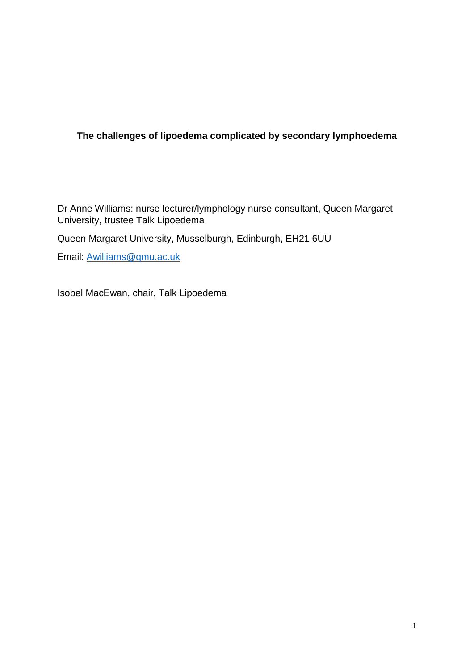## **The challenges of lipoedema complicated by secondary lymphoedema**

Dr Anne Williams: nurse lecturer/lymphology nurse consultant, Queen Margaret University, trustee Talk Lipoedema

Queen Margaret University, Musselburgh, Edinburgh, EH21 6UU

Email: [Awilliams@qmu.ac.uk](mailto:Awilliams@qmu.ac.uk)

Isobel MacEwan, chair, Talk Lipoedema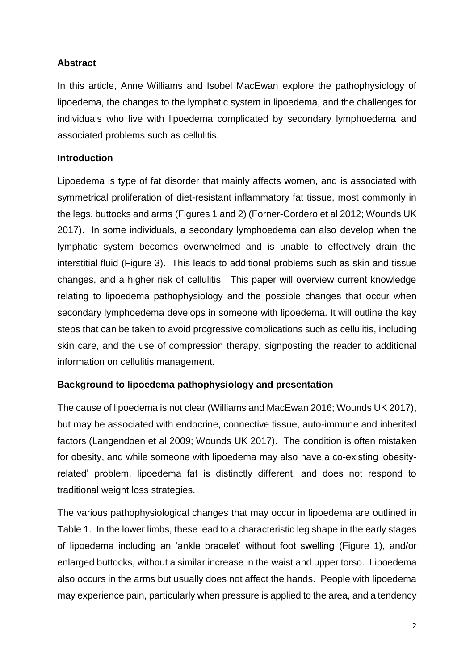## **Abstract**

In this article, Anne Williams and Isobel MacEwan explore the pathophysiology of lipoedema, the changes to the lymphatic system in lipoedema, and the challenges for individuals who live with lipoedema complicated by secondary lymphoedema and associated problems such as cellulitis.

## **Introduction**

Lipoedema is type of fat disorder that mainly affects women, and is associated with symmetrical proliferation of diet-resistant inflammatory fat tissue, most commonly in the legs, buttocks and arms (Figures 1 and 2) (Forner-Cordero et al 2012; Wounds UK 2017). In some individuals, a secondary lymphoedema can also develop when the lymphatic system becomes overwhelmed and is unable to effectively drain the interstitial fluid (Figure 3). This leads to additional problems such as skin and tissue changes, and a higher risk of cellulitis. This paper will overview current knowledge relating to lipoedema pathophysiology and the possible changes that occur when secondary lymphoedema develops in someone with lipoedema. It will outline the key steps that can be taken to avoid progressive complications such as cellulitis, including skin care, and the use of compression therapy, signposting the reader to additional information on cellulitis management.

## **Background to lipoedema pathophysiology and presentation**

The cause of lipoedema is not clear (Williams and MacEwan 2016; Wounds UK 2017), but may be associated with endocrine, connective tissue, auto-immune and inherited factors (Langendoen et al 2009; Wounds UK 2017). The condition is often mistaken for obesity, and while someone with lipoedema may also have a co-existing 'obesityrelated' problem, lipoedema fat is distinctly different, and does not respond to traditional weight loss strategies.

The various pathophysiological changes that may occur in lipoedema are outlined in Table 1. In the lower limbs, these lead to a characteristic leg shape in the early stages of lipoedema including an 'ankle bracelet' without foot swelling (Figure 1), and/or enlarged buttocks, without a similar increase in the waist and upper torso. Lipoedema also occurs in the arms but usually does not affect the hands. People with lipoedema may experience pain, particularly when pressure is applied to the area, and a tendency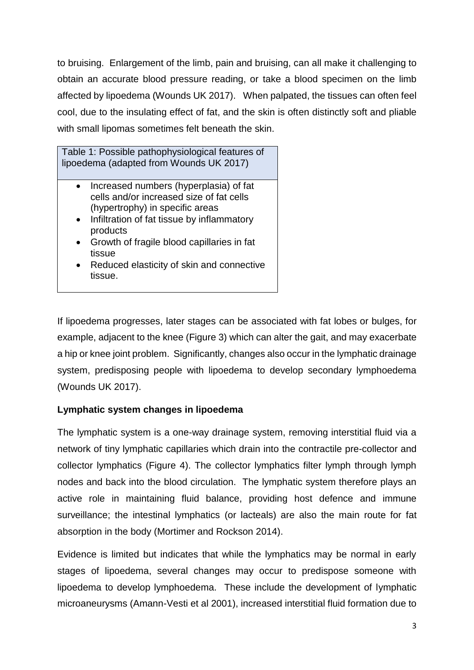to bruising. Enlargement of the limb, pain and bruising, can all make it challenging to obtain an accurate blood pressure reading, or take a blood specimen on the limb affected by lipoedema (Wounds UK 2017). When palpated, the tissues can often feel cool, due to the insulating effect of fat, and the skin is often distinctly soft and pliable with small lipomas sometimes felt beneath the skin.

Table 1: Possible pathophysiological features of lipoedema (adapted from Wounds UK 2017)

- Increased numbers (hyperplasia) of fat cells and/or increased size of fat cells (hypertrophy) in specific areas
- Infiltration of fat tissue by inflammatory products
- Growth of fragile blood capillaries in fat tissue
- Reduced elasticity of skin and connective tissue.

If lipoedema progresses, later stages can be associated with fat lobes or bulges, for example, adjacent to the knee (Figure 3) which can alter the gait, and may exacerbate a hip or knee joint problem. Significantly, changes also occur in the lymphatic drainage system, predisposing people with lipoedema to develop secondary lymphoedema (Wounds UK 2017).

# **Lymphatic system changes in lipoedema**

The lymphatic system is a one-way drainage system, removing interstitial fluid via a network of tiny lymphatic capillaries which drain into the contractile pre-collector and collector lymphatics (Figure 4). The collector lymphatics filter lymph through lymph nodes and back into the blood circulation. The lymphatic system therefore plays an active role in maintaining fluid balance, providing host defence and immune surveillance; the intestinal lymphatics (or lacteals) are also the main route for fat absorption in the body (Mortimer and Rockson 2014).

Evidence is limited but indicates that while the lymphatics may be normal in early stages of lipoedema, several changes may occur to predispose someone with lipoedema to develop lymphoedema. These include the development of lymphatic microaneurysms (Amann-Vesti et al 2001), increased interstitial fluid formation due to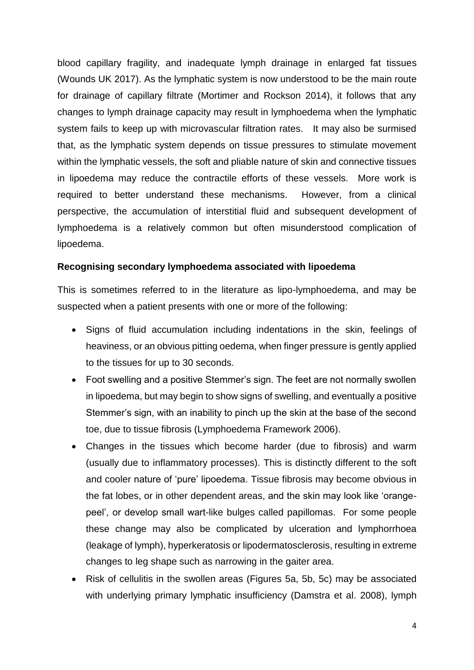blood capillary fragility, and inadequate lymph drainage in enlarged fat tissues (Wounds UK 2017). As the lymphatic system is now understood to be the main route for drainage of capillary filtrate (Mortimer and Rockson 2014), it follows that any changes to lymph drainage capacity may result in lymphoedema when the lymphatic system fails to keep up with microvascular filtration rates. It may also be surmised that, as the lymphatic system depends on tissue pressures to stimulate movement within the lymphatic vessels, the soft and pliable nature of skin and connective tissues in lipoedema may reduce the contractile efforts of these vessels. More work is required to better understand these mechanisms. However, from a clinical perspective, the accumulation of interstitial fluid and subsequent development of lymphoedema is a relatively common but often misunderstood complication of lipoedema.

#### **Recognising secondary lymphoedema associated with lipoedema**

This is sometimes referred to in the literature as lipo-lymphoedema, and may be suspected when a patient presents with one or more of the following:

- Signs of fluid accumulation including indentations in the skin, feelings of heaviness, or an obvious pitting oedema, when finger pressure is gently applied to the tissues for up to 30 seconds.
- Foot swelling and a positive Stemmer's sign. The feet are not normally swollen in lipoedema, but may begin to show signs of swelling, and eventually a positive Stemmer's sign, with an inability to pinch up the skin at the base of the second toe, due to tissue fibrosis (Lymphoedema Framework 2006).
- Changes in the tissues which become harder (due to fibrosis) and warm (usually due to inflammatory processes). This is distinctly different to the soft and cooler nature of 'pure' lipoedema. Tissue fibrosis may become obvious in the fat lobes, or in other dependent areas, and the skin may look like 'orangepeel', or develop small wart-like bulges called papillomas. For some people these change may also be complicated by ulceration and lymphorrhoea (leakage of lymph), hyperkeratosis or lipodermatosclerosis, resulting in extreme changes to leg shape such as narrowing in the gaiter area.
- Risk of cellulitis in the swollen areas (Figures 5a, 5b, 5c) may be associated with underlying primary lymphatic insufficiency (Damstra et al. 2008), lymph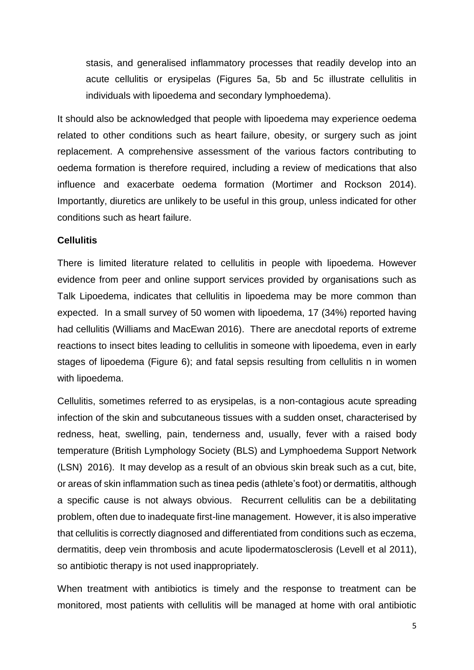stasis, and generalised inflammatory processes that readily develop into an acute cellulitis or erysipelas (Figures 5a, 5b and 5c illustrate cellulitis in individuals with lipoedema and secondary lymphoedema).

It should also be acknowledged that people with lipoedema may experience oedema related to other conditions such as heart failure, obesity, or surgery such as joint replacement. A comprehensive assessment of the various factors contributing to oedema formation is therefore required, including a review of medications that also influence and exacerbate oedema formation (Mortimer and Rockson 2014). Importantly, diuretics are unlikely to be useful in this group, unless indicated for other conditions such as heart failure.

#### **Cellulitis**

There is limited literature related to cellulitis in people with lipoedema. However evidence from peer and online support services provided by organisations such as Talk Lipoedema, indicates that cellulitis in lipoedema may be more common than expected. In a small survey of 50 women with lipoedema, 17 (34%) reported having had cellulitis (Williams and MacEwan 2016). There are anecdotal reports of extreme reactions to insect bites leading to cellulitis in someone with lipoedema, even in early stages of lipoedema (Figure 6); and fatal sepsis resulting from cellulitis n in women with lipoedema.

Cellulitis, sometimes referred to as erysipelas, is a non-contagious acute spreading infection of the skin and subcutaneous tissues with a sudden onset, characterised by redness, heat, swelling, pain, tenderness and, usually, fever with a raised body temperature (British Lymphology Society (BLS) and Lymphoedema Support Network (LSN) 2016). It may develop as a result of an obvious skin break such as a cut, bite, or areas of skin inflammation such as tinea pedis (athlete's foot) or dermatitis, although a specific cause is not always obvious. Recurrent cellulitis can be a debilitating problem, often due to inadequate first-line management. However, it is also imperative that cellulitis is correctly diagnosed and differentiated from conditions such as eczema, dermatitis, deep vein thrombosis and acute lipodermatosclerosis (Levell et al 2011), so antibiotic therapy is not used inappropriately.

When treatment with antibiotics is timely and the response to treatment can be monitored, most patients with cellulitis will be managed at home with oral antibiotic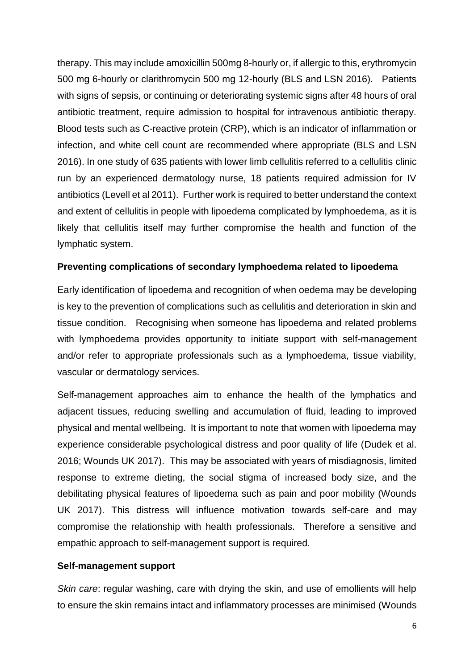therapy. This may include amoxicillin 500mg 8-hourly or, if allergic to this, erythromycin 500 mg 6-hourly or clarithromycin 500 mg 12-hourly (BLS and LSN 2016). Patients with signs of sepsis, or continuing or deteriorating systemic signs after 48 hours of oral antibiotic treatment, require admission to hospital for intravenous antibiotic therapy. Blood tests such as C-reactive protein (CRP), which is an indicator of inflammation or infection, and white cell count are recommended where appropriate (BLS and LSN 2016). In one study of 635 patients with lower limb cellulitis referred to a cellulitis clinic run by an experienced dermatology nurse, 18 patients required admission for IV antibiotics (Levell et al 2011). Further work is required to better understand the context and extent of cellulitis in people with lipoedema complicated by lymphoedema, as it is likely that cellulitis itself may further compromise the health and function of the lymphatic system.

### **Preventing complications of secondary lymphoedema related to lipoedema**

Early identification of lipoedema and recognition of when oedema may be developing is key to the prevention of complications such as cellulitis and deterioration in skin and tissue condition. Recognising when someone has lipoedema and related problems with lymphoedema provides opportunity to initiate support with self-management and/or refer to appropriate professionals such as a lymphoedema, tissue viability, vascular or dermatology services.

Self-management approaches aim to enhance the health of the lymphatics and adjacent tissues, reducing swelling and accumulation of fluid, leading to improved physical and mental wellbeing. It is important to note that women with lipoedema may experience considerable psychological distress and poor quality of life (Dudek et al. 2016; Wounds UK 2017). This may be associated with years of misdiagnosis, limited response to extreme dieting, the social stigma of increased body size, and the debilitating physical features of lipoedema such as pain and poor mobility (Wounds UK 2017). This distress will influence motivation towards self-care and may compromise the relationship with health professionals. Therefore a sensitive and empathic approach to self-management support is required.

#### **Self-management support**

*Skin care*: regular washing, care with drying the skin, and use of emollients will help to ensure the skin remains intact and inflammatory processes are minimised (Wounds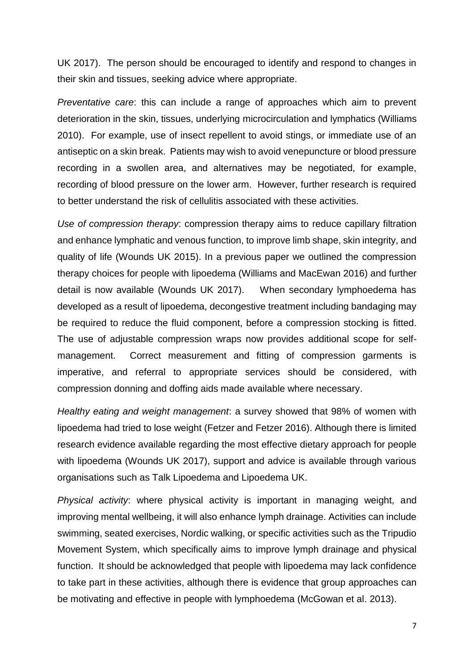UK 2017). The person should be encouraged to identify and respond to changes in their skin and tissues, seeking advice where appropriate.

*Preventative care*: this can include a range of approaches which aim to prevent deterioration in the skin, tissues, underlying microcirculation and lymphatics (Williams 2010). For example, use of insect repellent to avoid stings, or immediate use of an antiseptic on a skin break. Patients may wish to avoid venepuncture or blood pressure recording in a swollen area, and alternatives may be negotiated, for example, recording of blood pressure on the lower arm. However, further research is required to better understand the risk of cellulitis associated with these activities.

*Use of compression therapy*: compression therapy aims to reduce capillary filtration and enhance lymphatic and venous function, to improve limb shape, skin integrity, and quality of life (Wounds UK 2015). In a previous paper we outlined the compression therapy choices for people with lipoedema (Williams and MacEwan 2016) and further detail is now available (Wounds UK 2017). When secondary lymphoedema has developed as a result of lipoedema, decongestive treatment including bandaging may be required to reduce the fluid component, before a compression stocking is fitted. The use of adjustable compression wraps now provides additional scope for selfmanagement. Correct measurement and fitting of compression garments is imperative, and referral to appropriate services should be considered, with compression donning and doffing aids made available where necessary.

*Healthy eating and weight management*: a survey showed that 98% of women with lipoedema had tried to lose weight (Fetzer and Fetzer 2016). Although there is limited research evidence available regarding the most effective dietary approach for people with lipoedema (Wounds UK 2017), support and advice is available through various organisations such as Talk Lipoedema and Lipoedema UK.

*Physical activity*: where physical activity is important in managing weight, and improving mental wellbeing, it will also enhance lymph drainage. Activities can include swimming, seated exercises, Nordic walking, or specific activities such as the Tripudio Movement System, which specifically aims to improve lymph drainage and physical function. It should be acknowledged that people with lipoedema may lack confidence to take part in these activities, although there is evidence that group approaches can be motivating and effective in people with lymphoedema (McGowan et al. 2013).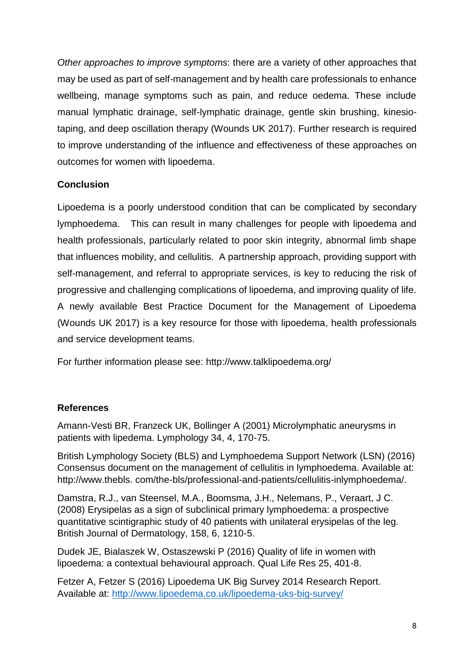*Other approaches to improve symptoms*: there are a variety of other approaches that may be used as part of self-management and by health care professionals to enhance wellbeing, manage symptoms such as pain, and reduce oedema. These include manual lymphatic drainage, self-lymphatic drainage, gentle skin brushing, kinesiotaping, and deep oscillation therapy (Wounds UK 2017). Further research is required to improve understanding of the influence and effectiveness of these approaches on outcomes for women with lipoedema.

# **Conclusion**

Lipoedema is a poorly understood condition that can be complicated by secondary lymphoedema. This can result in many challenges for people with lipoedema and health professionals, particularly related to poor skin integrity, abnormal limb shape that influences mobility, and cellulitis. A partnership approach, providing support with self-management, and referral to appropriate services, is key to reducing the risk of progressive and challenging complications of lipoedema, and improving quality of life. A newly available Best Practice Document for the Management of Lipoedema (Wounds UK 2017) is a key resource for those with lipoedema, health professionals and service development teams.

For further information please see: http://www.talklipoedema.org/

## **References**

Amann-Vesti BR, Franzeck UK, Bollinger A (2001) Microlymphatic aneurysms in patients with lipedema. Lymphology 34, 4, 170-75.

British Lymphology Society (BLS) and Lymphoedema Support Network (LSN) (2016) Consensus document on the management of cellulitis in lymphoedema. Available at: http://www.thebls. com/the-bls/professional-and-patients/cellulitis-inlymphoedema/.

Damstra, R.J., van Steensel, M.A., Boomsma, J.H., Nelemans, P., Veraart, J C. (2008) Erysipelas as a sign of subclinical primary lymphoedema: a prospective quantitative scintigraphic study of 40 patients with unilateral erysipelas of the leg. British Journal of Dermatology, 158, 6, 1210-5.

Dudek JE, Bialaszek W, Ostaszewski P (2016) Quality of life in women with lipoedema: a contextual behavioural approach. Qual Life Res 25, 401-8.

Fetzer A, Fetzer S (2016) Lipoedema UK Big Survey 2014 Research Report. Available at:<http://www.lipoedema.co.uk/lipoedema-uks-big-survey/>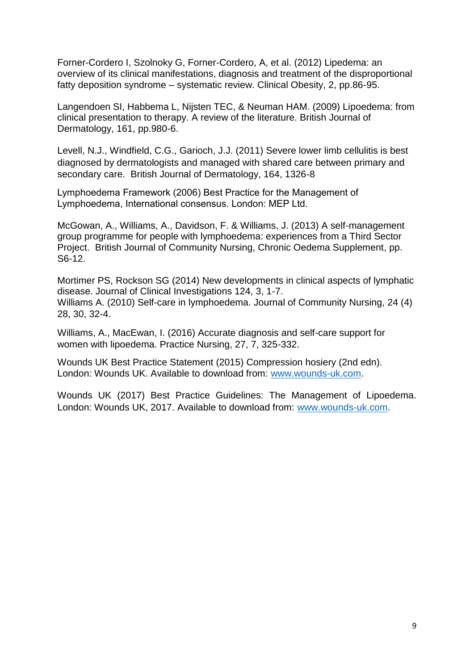Forner-Cordero I, Szolnoky G, Forner-Cordero, A, et al. (2012) Lipedema: an overview of its clinical manifestations, diagnosis and treatment of the disproportional fatty deposition syndrome – systematic review. Clinical Obesity, 2, pp.86-95.

Langendoen SI, Habbema L, Nijsten TEC, & Neuman HAM. (2009) Lipoedema: from clinical presentation to therapy. A review of the literature. British Journal of Dermatology, 161, pp.980-6.

Levell, N.J., Windfield, C.G., Garioch, J.J. (2011) Severe lower limb cellulitis is best diagnosed by dermatologists and managed with shared care between primary and secondary care. British Journal of Dermatology, 164, 1326-8

Lymphoedema Framework (2006) Best Practice for the Management of Lymphoedema, International consensus. London: MEP Ltd.

McGowan, A., Williams, A., Davidson, F. & Williams, J. (2013) A self-management group programme for people with lymphoedema: experiences from a Third Sector Project. British Journal of Community Nursing, Chronic Oedema Supplement, pp. S6-12.

Mortimer PS, Rockson SG (2014) New developments in clinical aspects of lymphatic disease. Journal of Clinical Investigations 124, 3, 1-7. Williams A. (2010) Self-care in lymphoedema. Journal of Community Nursing, 24 (4) 28, 30, 32-4.

Williams, A., MacEwan, I. (2016) Accurate diagnosis and self-care support for women with lipoedema. Practice Nursing, 27, 7, 325-332.

Wounds UK Best Practice Statement (2015) Compression hosiery (2nd edn). London: Wounds UK. Available to download from: [www.wounds-uk.com.](http://www.wounds-uk.com/)

Wounds UK (2017) Best Practice Guidelines: The Management of Lipoedema. London: Wounds UK, 2017. Available to download from: [www.wounds-uk.com.](http://www.wounds-uk.com/)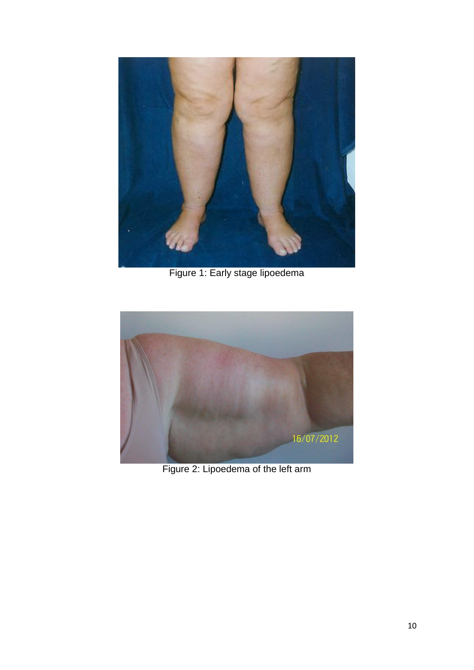

Figure 1: Early stage lipoedema



Figure 2: Lipoedema of the left arm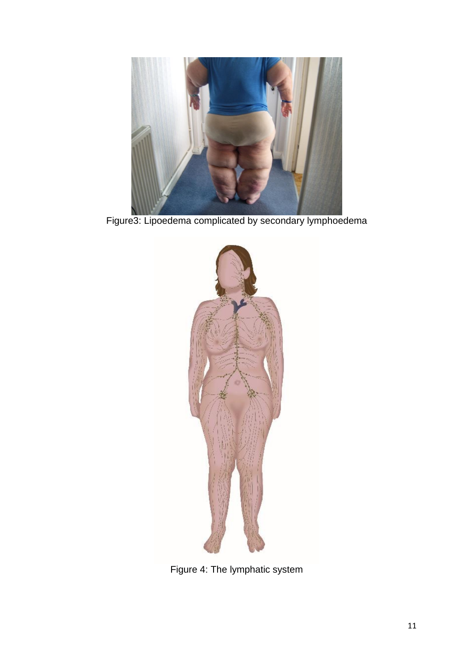

Figure3: Lipoedema complicated by secondary lymphoedema



Figure 4: The lymphatic system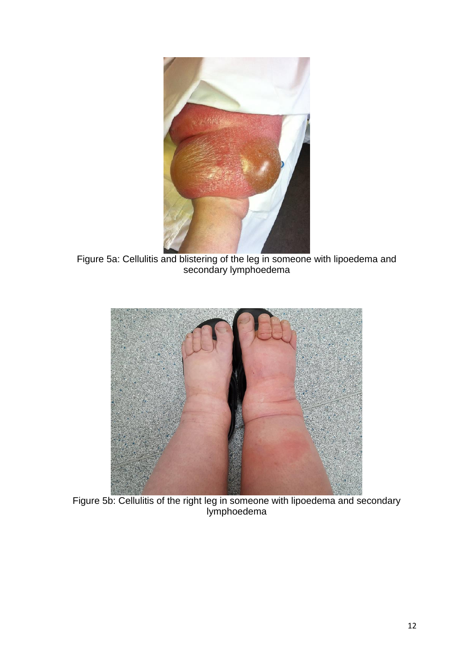

Figure 5a: Cellulitis and blistering of the leg in someone with lipoedema and secondary lymphoedema



Figure 5b: Cellulitis of the right leg in someone with lipoedema and secondary lymphoedema